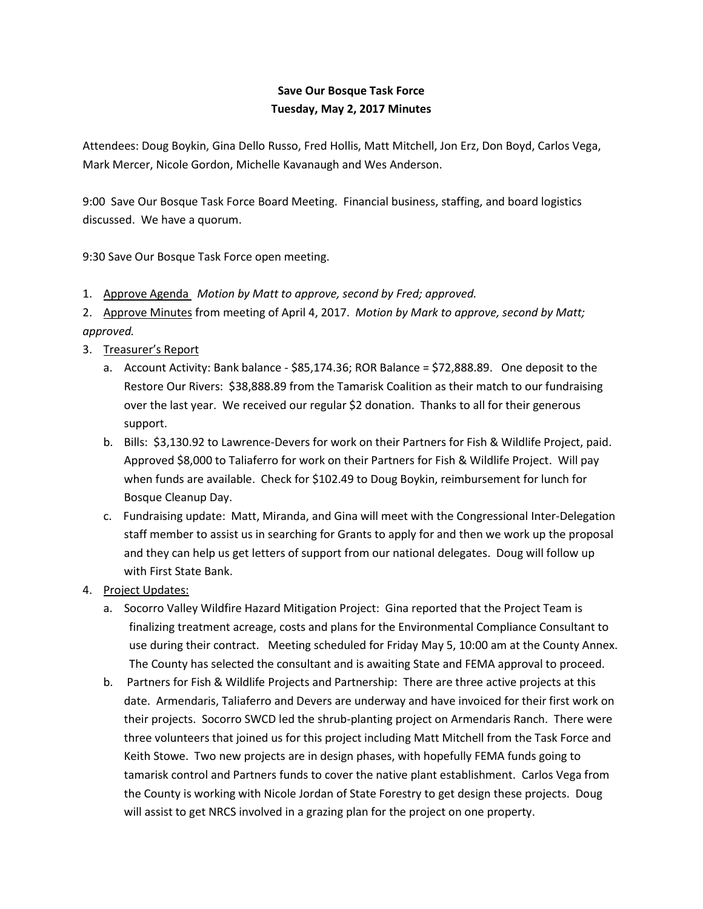## **Save Our Bosque Task Force Tuesday, May 2, 2017 Minutes**

Attendees: Doug Boykin, Gina Dello Russo, Fred Hollis, Matt Mitchell, Jon Erz, Don Boyd, Carlos Vega, Mark Mercer, Nicole Gordon, Michelle Kavanaugh and Wes Anderson.

9:00 Save Our Bosque Task Force Board Meeting. Financial business, staffing, and board logistics discussed. We have a quorum.

9:30 Save Our Bosque Task Force open meeting.

1. Approve Agenda *Motion by Matt to approve, second by Fred; approved.*

2. Approve Minutes from meeting of April 4, 2017. *Motion by Mark to approve, second by Matt; approved.*

- 3. Treasurer's Report
	- a. Account Activity: Bank balance \$85,174.36; ROR Balance = \$72,888.89. One deposit to the Restore Our Rivers: \$38,888.89 from the Tamarisk Coalition as their match to our fundraising over the last year. We received our regular \$2 donation. Thanks to all for their generous support.
	- b. Bills: \$3,130.92 to Lawrence-Devers for work on their Partners for Fish & Wildlife Project, paid. Approved \$8,000 to Taliaferro for work on their Partners for Fish & Wildlife Project. Will pay when funds are available. Check for \$102.49 to Doug Boykin, reimbursement for lunch for Bosque Cleanup Day.
	- c. Fundraising update: Matt, Miranda, and Gina will meet with the Congressional Inter-Delegation staff member to assist us in searching for Grants to apply for and then we work up the proposal and they can help us get letters of support from our national delegates. Doug will follow up with First State Bank.
- 4. Project Updates:
	- a. Socorro Valley Wildfire Hazard Mitigation Project: Gina reported that the Project Team is finalizing treatment acreage, costs and plans for the Environmental Compliance Consultant to use during their contract. Meeting scheduled for Friday May 5, 10:00 am at the County Annex. The County has selected the consultant and is awaiting State and FEMA approval to proceed.
	- b. Partners for Fish & Wildlife Projects and Partnership: There are three active projects at this date. Armendaris, Taliaferro and Devers are underway and have invoiced for their first work on their projects. Socorro SWCD led the shrub-planting project on Armendaris Ranch. There were three volunteers that joined us for this project including Matt Mitchell from the Task Force and Keith Stowe. Two new projects are in design phases, with hopefully FEMA funds going to tamarisk control and Partners funds to cover the native plant establishment. Carlos Vega from the County is working with Nicole Jordan of State Forestry to get design these projects. Doug will assist to get NRCS involved in a grazing plan for the project on one property.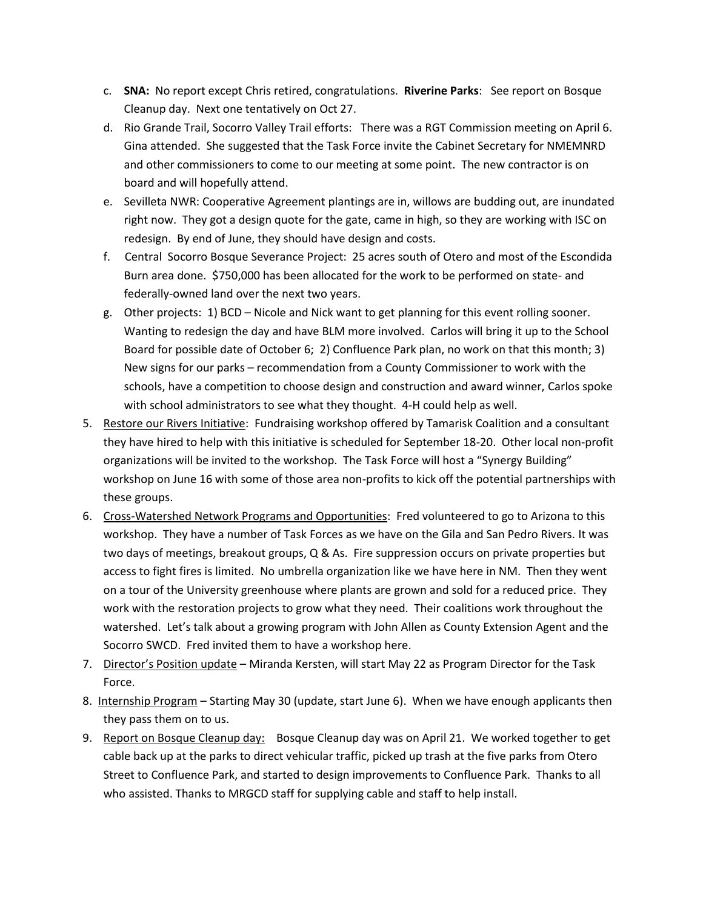- c. **SNA:** No report except Chris retired, congratulations. **Riverine Parks**: See report on Bosque Cleanup day. Next one tentatively on Oct 27.
- d. Rio Grande Trail, Socorro Valley Trail efforts: There was a RGT Commission meeting on April 6. Gina attended. She suggested that the Task Force invite the Cabinet Secretary for NMEMNRD and other commissioners to come to our meeting at some point. The new contractor is on board and will hopefully attend.
- e. Sevilleta NWR: Cooperative Agreement plantings are in, willows are budding out, are inundated right now. They got a design quote for the gate, came in high, so they are working with ISC on redesign. By end of June, they should have design and costs.
- f. Central Socorro Bosque Severance Project: 25 acres south of Otero and most of the Escondida Burn area done. \$750,000 has been allocated for the work to be performed on state- and federally-owned land over the next two years.
- g. Other projects: 1) BCD Nicole and Nick want to get planning for this event rolling sooner. Wanting to redesign the day and have BLM more involved. Carlos will bring it up to the School Board for possible date of October 6; 2) Confluence Park plan, no work on that this month; 3) New signs for our parks – recommendation from a County Commissioner to work with the schools, have a competition to choose design and construction and award winner, Carlos spoke with school administrators to see what they thought. 4-H could help as well.
- 5. Restore our Rivers Initiative: Fundraising workshop offered by Tamarisk Coalition and a consultant they have hired to help with this initiative is scheduled for September 18-20. Other local non-profit organizations will be invited to the workshop. The Task Force will host a "Synergy Building" workshop on June 16 with some of those area non-profits to kick off the potential partnerships with these groups.
- 6. Cross-Watershed Network Programs and Opportunities: Fred volunteered to go to Arizona to this workshop. They have a number of Task Forces as we have on the Gila and San Pedro Rivers. It was two days of meetings, breakout groups, Q & As. Fire suppression occurs on private properties but access to fight fires is limited. No umbrella organization like we have here in NM. Then they went on a tour of the University greenhouse where plants are grown and sold for a reduced price. They work with the restoration projects to grow what they need. Their coalitions work throughout the watershed. Let's talk about a growing program with John Allen as County Extension Agent and the Socorro SWCD. Fred invited them to have a workshop here.
- 7. Director's Position update Miranda Kersten, will start May 22 as Program Director for the Task Force.
- 8. Internship Program Starting May 30 (update, start June 6). When we have enough applicants then they pass them on to us.
- 9. Report on Bosque Cleanup day: Bosque Cleanup day was on April 21. We worked together to get cable back up at the parks to direct vehicular traffic, picked up trash at the five parks from Otero Street to Confluence Park, and started to design improvements to Confluence Park. Thanks to all who assisted. Thanks to MRGCD staff for supplying cable and staff to help install.